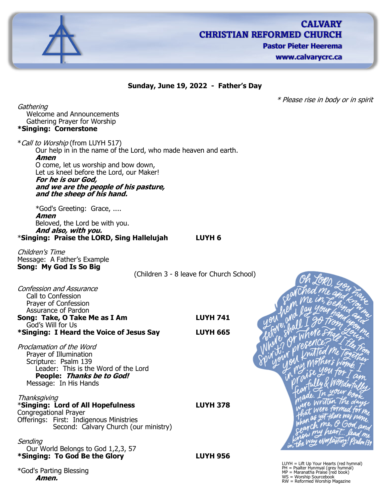

# **CALVARY CHRISTIAN REFORMED CHURCH Pastor Pieter Heerema**

www.calvarycrc.ca

### **Sunday, June 19, 2022 - Father's Day**

\* Please rise in body or in spirit

**Gathering** Welcome and Announcements Gathering Prayer for Worship **\*Singing: Cornerstone**

\*Call to Worship (from LUYH 517) Our help in in the name of the Lord, who made heaven and earth. **Amen** O come, let us worship and bow down, Let us kneel before the Lord, our Maker! **For he is our God, and we are the people of his pasture, and the sheep of his hand.**

\*God's Greeting: Grace, .... **Amen** Beloved, the Lord be with you. **And also, with you.** \***Singing: Praise the LORD, Sing Hallelujah LUYH 6**

Children's Time Message: A Father's Example **Song: My God Is So Big**

(Children 3 - 8 leave for Church School)

| Confession and Assurance<br>Call to Confession<br>Prayer of Confession<br>Assurance of Pardon                                                                            |                 |                                                                                                                                                                   |
|--------------------------------------------------------------------------------------------------------------------------------------------------------------------------|-----------------|-------------------------------------------------------------------------------------------------------------------------------------------------------------------|
| Song: Take, O Take Me as I Am<br>God's Will for Us                                                                                                                       | <b>LUYH 741</b> |                                                                                                                                                                   |
| *Singing: I Heard the Voice of Jesus Say                                                                                                                                 | <b>LUYH 665</b> |                                                                                                                                                                   |
| Proclamation of the Word<br>Prayer of Illumination<br>Scripture: Psalm 139<br>Leader: This is the Word of the Lord<br>People: Thanks be to God!<br>Message: In His Hands |                 |                                                                                                                                                                   |
| Thanksgiving<br>*Singing: Lord of All Hopefulness<br>Congregational Prayer<br>Offerings: First: Indigenous Ministries<br>Second: Calvary Church (our ministry)           | <b>LUYH 378</b> |                                                                                                                                                                   |
| Sending<br>Our World Belongs to God 1,2,3, 57                                                                                                                            |                 |                                                                                                                                                                   |
| *Singing: To God Be the Glory                                                                                                                                            | <b>LUYH 956</b> |                                                                                                                                                                   |
| *God's Parting Blessing<br>Amen.                                                                                                                                         |                 | $LUYH = Lift Up Your Hearts (red hymnal)$<br>PH = Psalter Hynmyal (grey hymnal)<br>MP = Maranatha Praise (red book)<br>WS = Worship Sourcebook<br>$DM = Dofarmod$ |

WS = Worship Sourcebook RW = Reformed Worship Magazine

Al Pan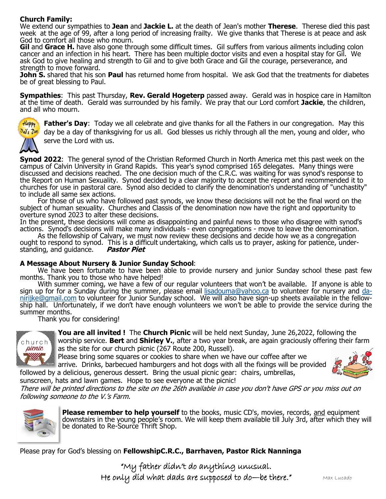## **Church Family:**

We extend our sympathies to **Jean** and **Jackie L.** at the death of Jean's mother **Therese**. Therese died this past week at the age of 99, after a long period of increasing frailty. We give thanks that Therese is at peace and ask God to comfort all those who mourn.

**Gil** and **Grace H.** have also gone through some difficult times. Gil suffers from various ailments including colon cancer and an infection in his heart. There has been multiple doctor visits and even a hospital stay for Gil. We ask God to give healing and strength to Gil and to give both Grace and Gil the courage, perseverance, and strength to move forward.

**John S.** shared that his son **Paul** has returned home from hospital. We ask God that the treatments for diabetes be of great blessing to Paul.

**Sympathies**: This past Thursday, **Rev. Gerald Hogeterp** passed away. Gerald was in hospice care in Hamilton at the time of death. Gerald was surrounded by his family. We pray that our Lord comfort **Jackie**, the children, and all who mourn.



**Father's Day**: Today we all celebrate and give thanks for all the Fathers in our congregation. May this day be a day of thanksgiving for us all. God blesses us richly through all the men, young and older, who serve the Lord with us.

**Synod 2022**: The general synod of the Christian Reformed Church in North America met this past week on the campus of Calvin University in Grand Rapids. This year's synod comprised 165 delegates. Many things were discussed and decisions reached. The one decision much of the C.R.C. was waiting for was synod's response to the Report on Human Sexuality. Synod decided by a clear majority to accept the report and recommended it to churches for use in pastoral care. Synod also decided to clarify the denomination's understanding of "unchastity" to include all same sex actions.

For those of us who have followed past synods, we know these decisions will not be the final word on the subject of human sexuality. Churches and Classis of the denomination now have the right and opportunity to overture synod 2023 to alter these decisions.

In the present, these decisions will come as disappointing and painful news to those who disagree with synod's actions. Synod's decisions will make many individuals - even congregations - move to leave the denomination.

As the fellowship of Calvary, we must now review these decisions and decide how we as a congregation ought to respond to synod. This is a difficult undertaking, which calls us to prayer, asking for patience, under-<br>standing, and quidance. Pastor Piet standing, and guidance.

### **A Message About Nursery & Junior Sunday School**:

sunscreen, hats and lawn games. Hope to see everyone at the picnic!

We have been fortunate to have been able to provide nursery and junior Sunday school these past few months. Thank you to those who have helped!

With summer coming, we have a few of our regular volunteers that won't be available. If anyone is able to sign up for for a Sunday during the summer, please email [lisadouma@yahoo.ca](mailto:lisadouma@yahoo.ca) to volunteer for nursery and [da](mailto:danirijke@gmail.com)[nirijke@gmail.com](mailto:danirijke@gmail.com) to volunteer for Junior Sunday school. We will also have sign-up sheets available in the fellowship hall. Unfortunately, if we don't have enough volunteers we won't be able to provide the service during the summer months.

Thank you for considering!



**You are all invited !** The **Church Picnic** will be held next Sunday, June 26,2022, following the worship service. **Bert** and **Shirley V.**, after a two year break, are again graciously offering their farm

as the site for our church picnic (267 Route 200, Russell). Please bring some squares or cookies to share when we have our coffee after we

arrive. Drinks, barbecued hamburgers and hot dogs with all the fixings will be provided followed by a delicious, generous dessert. Bring the usual picnic gear: chairs, umbrellas,



There will be printed directions to the site on the 26th available in case you don't have GPS or you miss out on following someone to the V.'s Farm.



**Please remember to help yourself** to the books, music CD's, movies, records, and equipment downstairs in the young people's room. We will keep them available till July 3rd, after which they will be donated to Re-Source Thrift Shop.

Please pray for God's blessing on **FellowshipC.R.C., Barrhaven, Pastor Rick Nanninga**

"My father didn't do anything unusual. He only did what dads are supposed to do—be there."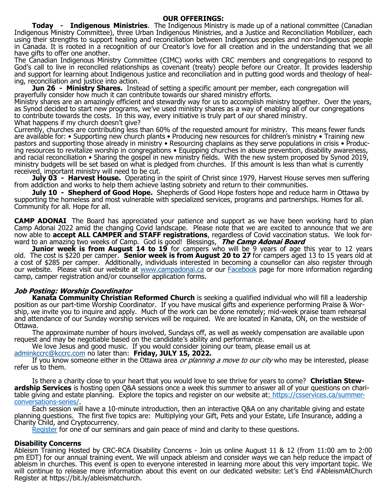#### **OUR OFFERINGS:**

**Today - Indigenous Ministries**. The Indigenous Ministry is made up of a national committee (Canadian Indigenous Ministry Committee), three Urban Indigenous Ministries, and a Justice and Reconciliation Mobilizer, each using their strengths to support healing and reconciliation between Indigenous peoples and non-Indigenous people in Canada. It is rooted in a recognition of our Creator's love for all creation and in the understanding that we all have gifts to offer one another.

The Canadian Indigenous Ministry Committee (CIMC) works with CRC members and congregations to respond to God's call to live in reconciled relationships as covenant (treaty) people before our Creator. It provides leadership and support for learning about Indigenous justice and reconciliation and in putting good words and theology of healing, reconciliation and justice into action.

**Jun 26 - Ministry Shares.** Instead of setting a specific amount per member, each congregation will prayerfully consider how much it can contribute towards our shared ministry efforts.

Ministry shares are an amazingly efficient and stewardly way for us to accomplish ministry together. Over the years, as Synod decided to start new programs, we've used ministry shares as a way of enabling all of our congregations to contribute towards the costs. In this way, every initiative is truly part of our shared ministry. What happens if my church doesn't give?

Currently, churches are contributing less than 60% of the requested amount for ministry. This means fewer funds are available for: • Supporting new church plants • Producing new resources for children's ministry • Training new pastors and supporting those already in ministry • Resourcing chaplains as they serve populations in crisis • Producing resources to revitalize worship in congregations • Equipping churches in abuse prevention, disability awareness, and racial reconciliation • Sharing the gospel in new ministry fields. With the new system proposed by Synod 2019, ministry budgets will be set based on what is pledged from churches. If this amount is less than what is currently received, important ministry will need to be cut.

**July 03 - Harvest House.** Operating in the spirit of Christ since 1979, Harvest House serves men suffering from addiction and works to help them achieve lasting sobriety and return to their communities.

**July 10 - Shepherd of Good Hope.** Shepherds of Good Hope fosters hope and reduce harm in Ottawa by supporting the homeless and most vulnerable with specialized services, programs and partnerships. Homes for all. Community for all. Hope for all.

**CAMP ADONAI** The Board has appreciated your patience and support as we have been working hard to plan Camp Adonai 2022 amid the changing Covid landscape. Please note that we are excited to announce that we are now able to **accept ALL CAMPER and STAFF registrations**, regardless of Covid vaccination status. We look forward to an amazing two weeks of Camp. God is good! Blessings, **The Camp Adonai Board**

**Junior week is from August 14 to 19** for campers who will be 9 years of age this year to 12 years old. The cost is \$220 per camper. **Senior week is from August 20 to 27** for campers aged 13 to 15 years old at a cost of \$285 per camper. Additionally, individuals interested in becoming a counsellor can also register through our website. Please visit our website at [www.campadonai.ca](http://www.campadonai.ca/) or our [Facebook](https://www.facebook.com/groups/2214805452) page for more information regarding camp, camper registration and/or counsellor application forms.

### **Job Posting: Worship Coordinator**

**Kanata Community Christian Reformed Church** is seeking a qualified individual who will fill a leadership position as our part-time Worship Coordinator. If you have musical gifts and experience performing Praise & Worship, we invite you to inquire and apply. Much of the work can be done remotely; mid-week praise team rehearsal and attendance of our Sunday worship services will be required. We are located in Kanata, ON, on the westside of Ottawa.

The approximate number of hours involved, Sundays off, as well as weekly compensation are available upon request and may be negotiable based on the candidate's ability and performance.

We love Jesus and good music. If you would consider joining our team, please email us at

[adminkccrc@kccrc.com](mailto:adminkccrc@kccrc.com) no later than: **Friday, JULY 15, 2022.**

If you know someone either in the Ottawa area *or planning a move to our city* who may be interested, please refer us to them.

Is there a charity close to your heart that you would love to see thrive for years to come? **Christian Stewardship Services** is hosting open Q&A sessions once a week this summer to answer all of your questions on charitable giving and estate planning. Explore the topics and register on our website at: [https://csservices.ca/summer](https://csservices.ca/summer-conversations-series/)[conversations](https://csservices.ca/summer-conversations-series/)-series/.

Each session will have a 10-minute introduction, then an interactive Q&A on any charitable giving and estate planning questions. The first five topics are: Multiplying your Gift, Pets and your Estate, Life Insurance, adding a Charity Child, and Cryptocurrency.

[Register](https://csservices.ca/summer-conversations-series/) for one of our seminars and gain peace of mind and clarity to these questions.

#### **Disability Concerns**

Ableism Training Hosted by CRC-RCA Disability Concerns - Join us online August 11 & 12 (from 11:00 am to 2:00 pm EDT) for our annual training event. We will unpack ableism and consider ways we can help reduce the impact of ableism in churches. This event is open to everyone interested in learning more about this very important topic. We will continue to release more information about this event on our dedicated website: Let's End #AbleismAtChurch Register at https://bit.ly/ableismatchurch.